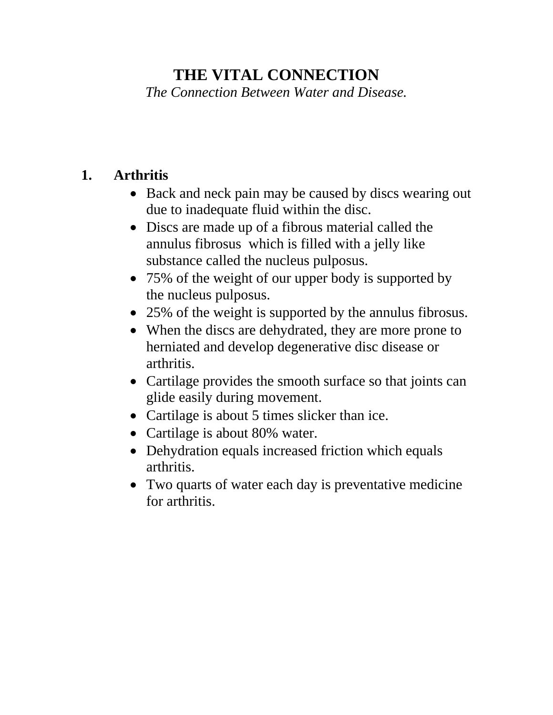# **THE VITAL CONNECTION**

*The Connection Between Water and Disease.* 

## **1. Arthritis**

- Back and neck pain may be caused by discs wearing out due to inadequate fluid within the disc.
- Discs are made up of a fibrous material called the annulus fibrosus which is filled with a jelly like substance called the nucleus pulposus.
- 75% of the weight of our upper body is supported by the nucleus pulposus.
- 25% of the weight is supported by the annulus fibrosus.
- When the discs are dehydrated, they are more prone to herniated and develop degenerative disc disease or arthritis.
- Cartilage provides the smooth surface so that joints can glide easily during movement.
- Cartilage is about 5 times slicker than ice.
- Cartilage is about 80% water.
- Dehydration equals increased friction which equals arthritis.
- Two quarts of water each day is preventative medicine for arthritis.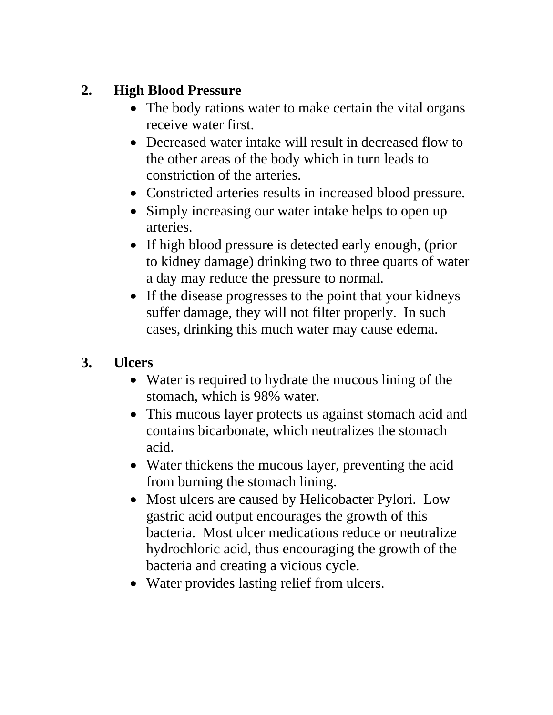# **2. High Blood Pressure**

- The body rations water to make certain the vital organs receive water first.
- Decreased water intake will result in decreased flow to the other areas of the body which in turn leads to constriction of the arteries.
- Constricted arteries results in increased blood pressure.
- Simply increasing our water intake helps to open up arteries.
- If high blood pressure is detected early enough, (prior to kidney damage) drinking two to three quarts of water a day may reduce the pressure to normal.
- If the disease progresses to the point that your kidneys suffer damage, they will not filter properly. In such cases, drinking this much water may cause edema.

#### **3. Ulcers**

- Water is required to hydrate the mucous lining of the stomach, which is 98% water.
- This mucous layer protects us against stomach acid and contains bicarbonate, which neutralizes the stomach acid.
- Water thickens the mucous layer, preventing the acid from burning the stomach lining.
- Most ulcers are caused by Helicobacter Pylori. Low gastric acid output encourages the growth of this bacteria. Most ulcer medications reduce or neutralize hydrochloric acid, thus encouraging the growth of the bacteria and creating a vicious cycle.
- Water provides lasting relief from ulcers.